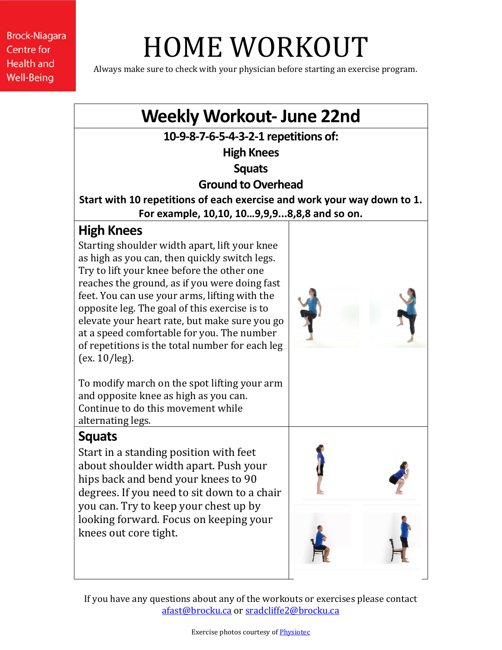# HOME WORKOUT

Always make sure to check with your physician before starting an exercise program.



If you have any questions about any of the workouts or exercises please contact [afast@brocku.ca](mailto:afast@brocku.ca) or [sradcliffe2@brocku.ca](mailto:sradcliffe2@brocku.ca)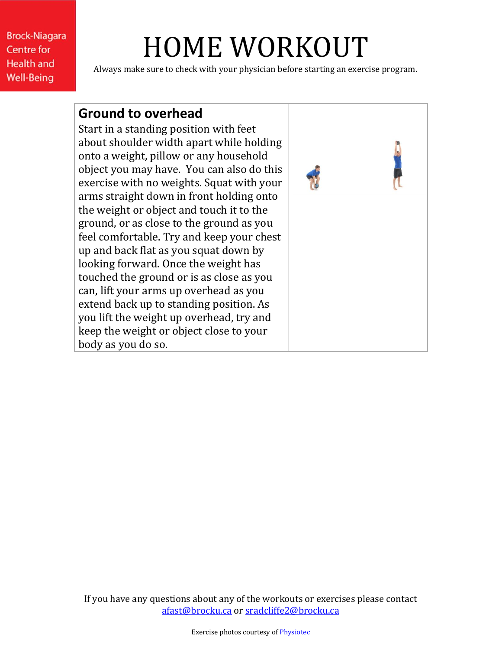# HOME WORKOUT

Always make sure to check with your physician before starting an exercise program.

#### **Ground to overhead**

Start in a standing position with feet about shoulder width apart while holding onto a weight, pillow or any household object you may have. You can also do this exercise with no weights. Squat with your arms straight down in front holding onto the weight or object and touch it to the ground, or as close to the ground as you feel comfortable. Try and keep your chest up and back flat as you squat down by looking forward. Once the weight has touched the ground or is as close as you can, lift your arms up overhead as you extend back up to standing position. As you lift the weight up overhead, try and keep the weight or object close to your body as you do so.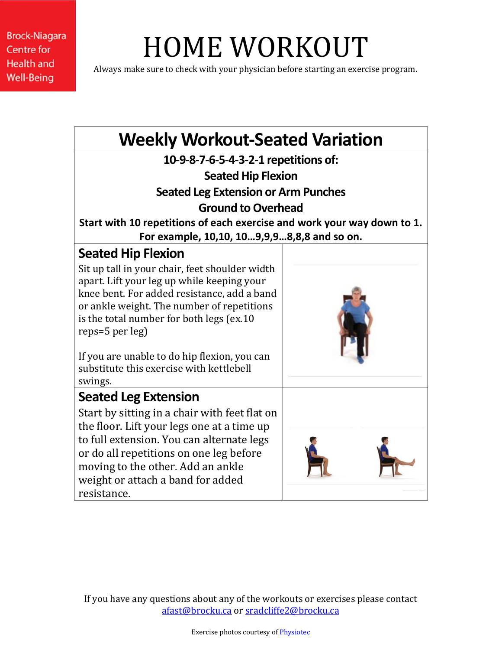# HOME WORKOUT

Always make sure to check with your physician before starting an exercise program.

| <b>Weekly Workout-Seated Variation</b>                                                    |  |
|-------------------------------------------------------------------------------------------|--|
| 10-9-8-7-6-5-4-3-2-1 repetitions of:                                                      |  |
| <b>Seated Hip Flexion</b>                                                                 |  |
| <b>Seated Leg Extension or Arm Punches</b>                                                |  |
| <b>Ground to Overhead</b>                                                                 |  |
| Start with 10 repetitions of each exercise and work your way down to 1.                   |  |
| For example, 10,10, 109,9,98,8,8 and so on.                                               |  |
| <b>Seated Hip Flexion</b>                                                                 |  |
| Sit up tall in your chair, feet shoulder width                                            |  |
| apart. Lift your leg up while keeping your                                                |  |
| knee bent. For added resistance, add a band<br>or ankle weight. The number of repetitions |  |
| is the total number for both legs (ex.10                                                  |  |
| reps=5 per leg)                                                                           |  |
|                                                                                           |  |
| If you are unable to do hip flexion, you can<br>substitute this exercise with kettlebell  |  |
| swings.                                                                                   |  |
| <b>Seated Leg Extension</b>                                                               |  |
| Start by sitting in a chair with feet flat on                                             |  |
| the floor. Lift your legs one at a time up                                                |  |
| to full extension. You can alternate legs                                                 |  |
| or do all repetitions on one leg before                                                   |  |
| moving to the other. Add an ankle                                                         |  |
| weight or attach a band for added                                                         |  |
| resistance.                                                                               |  |

If you have any questions about any of the workouts or exercises please contact [afast@brocku.ca](mailto:afast@brocku.ca) or [sradcliffe2@brocku.ca](mailto:sradcliffe2@brocku.ca)